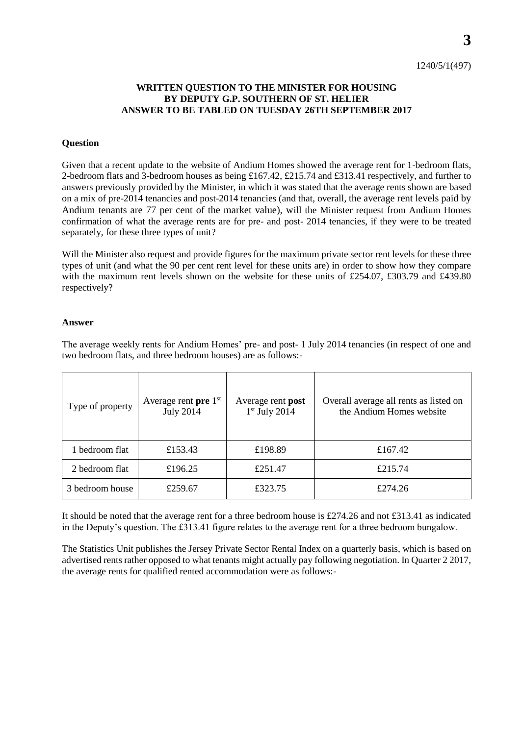**3**

## **WRITTEN QUESTION TO THE MINISTER FOR HOUSING BY DEPUTY G.P. SOUTHERN OF ST. HELIER ANSWER TO BE TABLED ON TUESDAY 26TH SEPTEMBER 2017**

## **Question**

Given that a recent update to the website of Andium Homes showed the average rent for 1-bedroom flats, 2-bedroom flats and 3-bedroom houses as being £167.42, £215.74 and £313.41 respectively, and further to answers previously provided by the Minister, in which it was stated that the average rents shown are based on a mix of pre-2014 tenancies and post-2014 tenancies (and that, overall, the average rent levels paid by Andium tenants are 77 per cent of the market value), will the Minister request from Andium Homes confirmation of what the average rents are for pre- and post- 2014 tenancies, if they were to be treated separately, for these three types of unit?

Will the Minister also request and provide figures for the maximum private sector rent levels for these three types of unit (and what the 90 per cent rent level for these units are) in order to show how they compare with the maximum rent levels shown on the website for these units of £254.07, £303.79 and £439.80 respectively?

## **Answer**

The average weekly rents for Andium Homes' pre- and post- 1 July 2014 tenancies (in respect of one and two bedroom flats, and three bedroom houses) are as follows:-

| Type of property | Average rent pre $1st$<br><b>July 2014</b> | Average rent <b>post</b><br>$1st$ July 2014 | Overall average all rents as listed on<br>the Andium Homes website |
|------------------|--------------------------------------------|---------------------------------------------|--------------------------------------------------------------------|
| 1 bedroom flat   | £153.43                                    | £198.89                                     | £167.42                                                            |
| 2 bedroom flat   | £196.25                                    | £251.47                                     | £215.74                                                            |
| 3 bedroom house  | £259.67                                    | £323.75                                     | £274.26                                                            |

It should be noted that the average rent for a three bedroom house is £274.26 and not £313.41 as indicated in the Deputy's question. The £313.41 figure relates to the average rent for a three bedroom bungalow.

The Statistics Unit publishes the Jersey Private Sector Rental Index on a quarterly basis, which is based on advertised rents rather opposed to what tenants might actually pay following negotiation. In Quarter 2 2017, the average rents for qualified rented accommodation were as follows:-